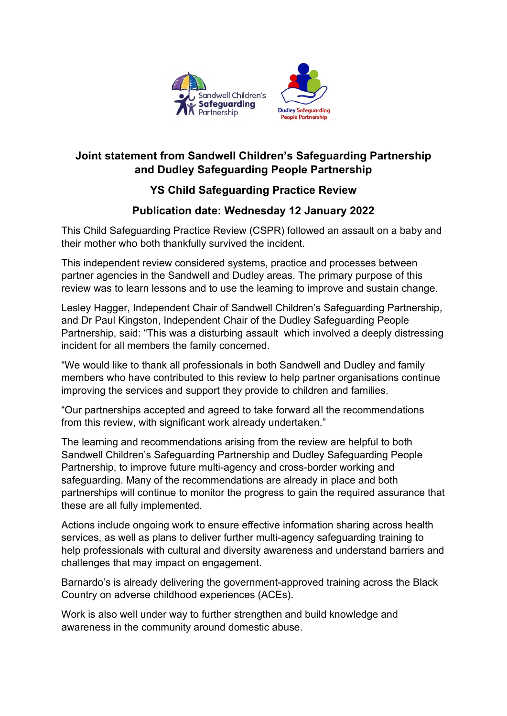

## **Joint statement from Sandwell Children's Safeguarding Partnership and Dudley Safeguarding People Partnership**

## **YS Child Safeguarding Practice Review**

## **Publication date: Wednesday 12 January 2022**

This Child Safeguarding Practice Review (CSPR) followed an assault on a baby and their mother who both thankfully survived the incident.

This independent review considered systems, practice and processes between partner agencies in the Sandwell and Dudley areas. The primary purpose of this review was to learn lessons and to use the learning to improve and sustain change.

Lesley Hagger, Independent Chair of Sandwell Children's Safeguarding Partnership, and Dr Paul Kingston, Independent Chair of the Dudley Safeguarding People Partnership, said: "This was a disturbing assault which involved a deeply distressing incident for all members the family concerned.

"We would like to thank all professionals in both Sandwell and Dudley and family members who have contributed to this review to help partner organisations continue improving the services and support they provide to children and families.

"Our partnerships accepted and agreed to take forward all the recommendations from this review, with significant work already undertaken."

The learning and recommendations arising from the review are helpful to both Sandwell Children's Safeguarding Partnership and Dudley Safeguarding People Partnership, to improve future multi-agency and cross-border working and safeguarding. Many of the recommendations are already in place and both partnerships will continue to monitor the progress to gain the required assurance that these are all fully implemented.

Actions include ongoing work to ensure effective information sharing across health services, as well as plans to deliver further multi-agency safeguarding training to help professionals with cultural and diversity awareness and understand barriers and challenges that may impact on engagement.

Barnardo's is already delivering the government-approved training across the Black Country on adverse childhood experiences (ACEs).

Work is also well under way to further strengthen and build knowledge and awareness in the community around domestic abuse.